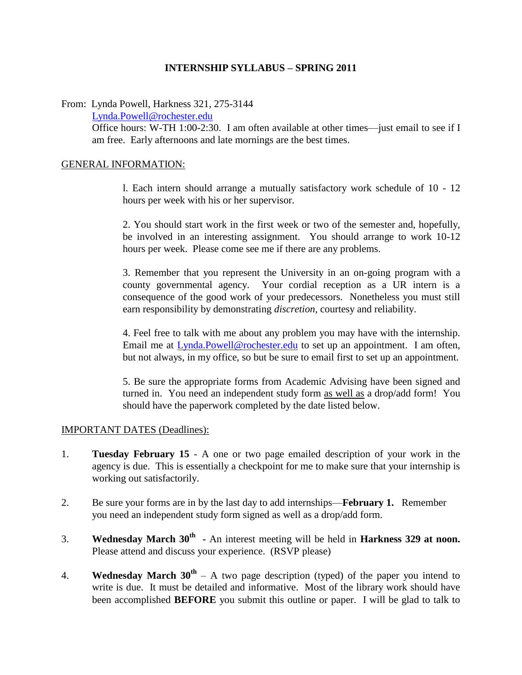## **INTERNSHIP SYLLABUS – SPRING 2011**

From: Lynda Powell, Harkness 321, 275-3144

Lynda.Powell@rochester.edu

Office hours: W-TH 1:00-2:30. I am often available at other times—just email to see if I am free. Early afternoons and late mornings are the best times.

## GENERAL INFORMATION:

l. Each intern should arrange a mutually satisfactory work schedule of 10 - 12 hours per week with his or her supervisor.

2. You should start work in the first week or two of the semester and, hopefully, be involved in an interesting assignment. You should arrange to work 10-12 hours per week. Please come see me if there are any problems.

3. Remember that you represent the University in an on-going program with a county governmental agency. Your cordial reception as a UR intern is a consequence of the good work of your predecessors. Nonetheless you must still earn responsibility by demonstrating *discretion*, courtesy and reliability.

4. Feel free to talk with me about any problem you may have with the internship. Email me at Lynda.Powell@rochester.edu to set up an appointment. I am often, but not always, in my office, so but be sure to email first to set up an appointment.

5. Be sure the appropriate forms from Academic Advising have been signed and turned in. You need an independent study form as well as a drop/add form! You should have the paperwork completed by the date listed below.

## IMPORTANT DATES (Deadlines):

- 1. **Tuesday February 15** A one or two page emailed description of your work in the agency is due. This is essentially a checkpoint for me to make sure that your internship is working out satisfactorily.
- 2. Be sure your forms are in by the last day to add internships—**February 1.** Remember you need an independent study form signed as well as a drop/add form.
- 3. **Wednesday March 30th -** An interest meeting will be held in **Harkness 329 at noon.**  Please attend and discuss your experience. (RSVP please)
- 4. **Wednesday March 30th** A two page description (typed) of the paper you intend to write is due. It must be detailed and informative. Most of the library work should have been accomplished **BEFORE** you submit this outline or paper. I will be glad to talk to